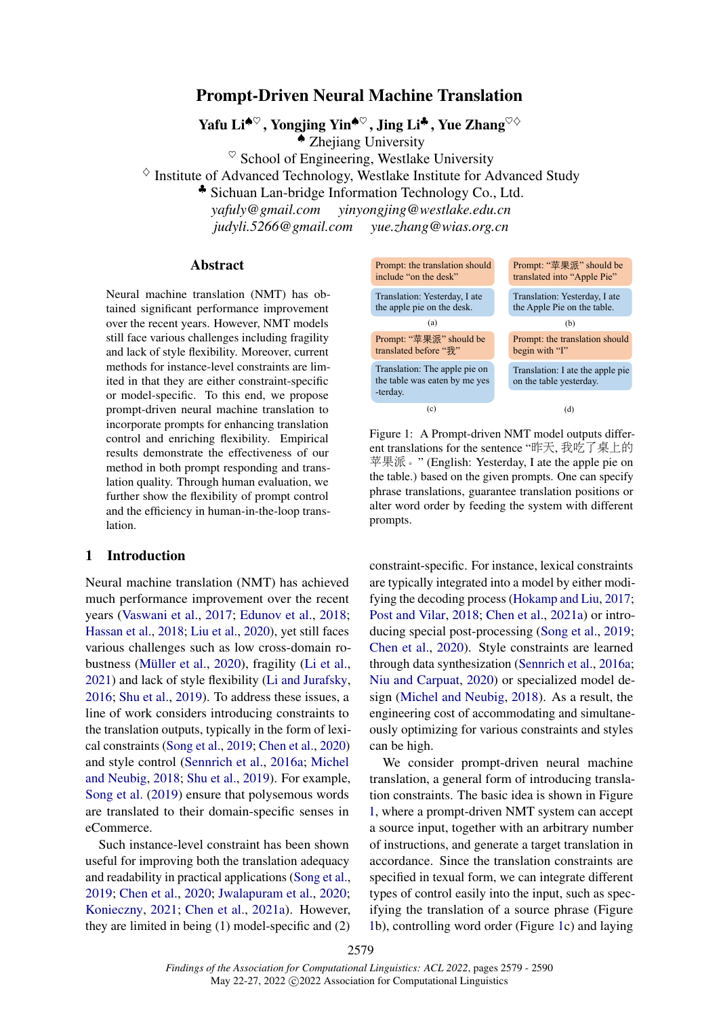# <span id="page-0-1"></span>Prompt-Driven Neural Machine Translation

Yafu Li♠♡ , Yongjing Yin♠♡ , Jing Li♣ , Yue Zhang♡♢ ♠ Zhejiang University

 $\heartsuit$  School of Engineering, Westlake University

 $\Diamond$  Institute of Advanced Technology, Westlake Institute for Advanced Study

♣ Sichuan Lan-bridge Information Technology Co., Ltd.

*yafuly@gmail.com yinyongjing@westlake.edu.cn judyli.5266@gmail.com yue.zhang@wias.org.cn*

#### Abstract

Neural machine translation (NMT) has obtained significant performance improvement over the recent years. However, NMT models still face various challenges including fragility and lack of style flexibility. Moreover, current methods for instance-level constraints are limited in that they are either constraint-specific or model-specific. To this end, we propose prompt-driven neural machine translation to incorporate prompts for enhancing translation control and enriching flexibility. Empirical results demonstrate the effectiveness of our method in both prompt responding and translation quality. Through human evaluation, we further show the flexibility of prompt control and the efficiency in human-in-the-loop translation.

## 1 Introduction

Neural machine translation (NMT) has achieved much performance improvement over the recent years [\(Vaswani et al.,](#page-10-0) [2017;](#page-10-0) [Edunov et al.,](#page-8-0) [2018;](#page-8-0) [Hassan et al.,](#page-8-1) [2018;](#page-8-1) [Liu et al.,](#page-9-0) [2020\)](#page-9-0), yet still faces various challenges such as low cross-domain robustness [\(Müller et al.,](#page-9-1) [2020\)](#page-9-1), fragility [\(Li et al.,](#page-9-2) [2021\)](#page-9-2) and lack of style flexibility [\(Li and Jurafsky,](#page-9-3) [2016;](#page-9-3) [Shu et al.,](#page-9-4) [2019\)](#page-9-4). To address these issues, a line of work considers introducing constraints to the translation outputs, typically in the form of lexical constraints [\(Song et al.,](#page-9-5) [2019;](#page-9-5) [Chen et al.,](#page-8-2) [2020\)](#page-8-2) and style control [\(Sennrich et al.,](#page-9-6) [2016a;](#page-9-6) [Michel](#page-9-7) [and Neubig,](#page-9-7) [2018;](#page-9-7) [Shu et al.,](#page-9-4) [2019\)](#page-9-4). For example, [Song et al.](#page-9-5) [\(2019\)](#page-9-5) ensure that polysemous words are translated to their domain-specific senses in eCommerce.

Such instance-level constraint has been shown useful for improving both the translation adequacy and readability in practical applications [\(Song et al.,](#page-9-5) [2019;](#page-9-5) [Chen et al.,](#page-8-2) [2020;](#page-8-2) [Jwalapuram et al.,](#page-9-8) [2020;](#page-9-8) [Konieczny,](#page-9-9) [2021;](#page-9-9) [Chen et al.,](#page-8-3) [2021a\)](#page-8-3). However, they are limited in being (1) model-specific and (2)

<span id="page-0-0"></span>

Figure 1: A Prompt-driven NMT model outputs different translations for the sentence "昨天, 我吃了桌上<sup>的</sup> 苹果派。" (English: Yesterday, I ate the apple pie on the table.) based on the given prompts. One can specify phrase translations, guarantee translation positions or alter word order by feeding the system with different prompts.

constraint-specific. For instance, lexical constraints are typically integrated into a model by either modifying the decoding process [\(Hokamp and Liu,](#page-9-10) [2017;](#page-9-10) [Post and Vilar,](#page-9-11) [2018;](#page-9-11) [Chen et al.,](#page-8-3) [2021a\)](#page-8-3) or introducing special post-processing [\(Song et al.,](#page-9-5) [2019;](#page-9-5) [Chen et al.,](#page-8-2) [2020\)](#page-8-2). Style constraints are learned through data synthesization [\(Sennrich et al.,](#page-9-6) [2016a;](#page-9-6) [Niu and Carpuat,](#page-9-12) [2020\)](#page-9-12) or specialized model design [\(Michel and Neubig,](#page-9-7) [2018\)](#page-9-7). As a result, the engineering cost of accommodating and simultaneously optimizing for various constraints and styles can be high.

We consider prompt-driven neural machine translation, a general form of introducing translation constraints. The basic idea is shown in Figure [1,](#page-0-0) where a prompt-driven NMT system can accept a source input, together with an arbitrary number of instructions, and generate a target translation in accordance. Since the translation constraints are specified in texual form, we can integrate different types of control easily into the input, such as specifying the translation of a source phrase (Figure [1b](#page-0-0)), controlling word order (Figure [1c](#page-0-0)) and laying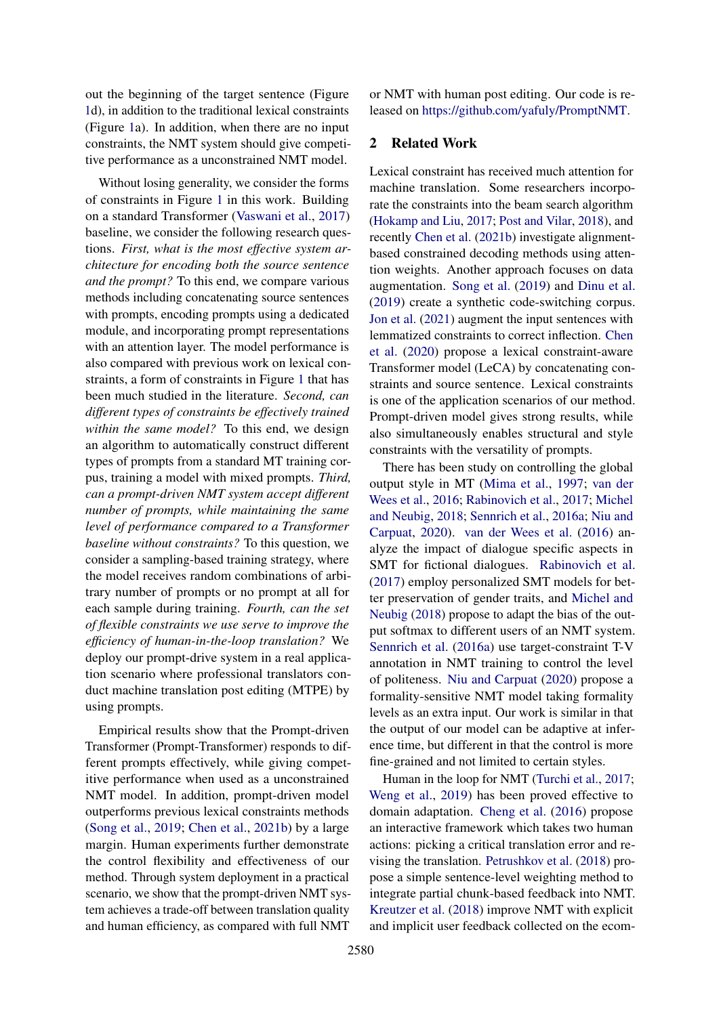out the beginning of the target sentence (Figure [1d](#page-0-0)), in addition to the traditional lexical constraints (Figure [1a](#page-0-0)). In addition, when there are no input constraints, the NMT system should give competitive performance as a unconstrained NMT model.

Without losing generality, we consider the forms of constraints in Figure [1](#page-0-0) in this work. Building on a standard Transformer [\(Vaswani et al.,](#page-10-0) [2017\)](#page-10-0) baseline, we consider the following research questions. *First, what is the most effective system architecture for encoding both the source sentence and the prompt?* To this end, we compare various methods including concatenating source sentences with prompts, encoding prompts using a dedicated module, and incorporating prompt representations with an attention layer. The model performance is also compared with previous work on lexical constraints, a form of constraints in Figure [1](#page-0-0) that has been much studied in the literature. *Second, can different types of constraints be effectively trained within the same model?* To this end, we design an algorithm to automatically construct different types of prompts from a standard MT training corpus, training a model with mixed prompts. *Third, can a prompt-driven NMT system accept different number of prompts, while maintaining the same level of performance compared to a Transformer baseline without constraints?* To this question, we consider a sampling-based training strategy, where the model receives random combinations of arbitrary number of prompts or no prompt at all for each sample during training. *Fourth, can the set of flexible constraints we use serve to improve the efficiency of human-in-the-loop translation?* We deploy our prompt-drive system in a real application scenario where professional translators conduct machine translation post editing (MTPE) by using prompts.

Empirical results show that the Prompt-driven Transformer (Prompt-Transformer) responds to different prompts effectively, while giving competitive performance when used as a unconstrained NMT model. In addition, prompt-driven model outperforms previous lexical constraints methods [\(Song et al.,](#page-9-5) [2019;](#page-9-5) [Chen et al.,](#page-8-4) [2021b\)](#page-8-4) by a large margin. Human experiments further demonstrate the control flexibility and effectiveness of our method. Through system deployment in a practical scenario, we show that the prompt-driven NMT system achieves a trade-off between translation quality and human efficiency, as compared with full NMT

or NMT with human post editing. Our code is released on [https://github.com/yafuly/PromptNMT.](https://github.com/yafuly/PromptNMT)

# 2 Related Work

Lexical constraint has received much attention for machine translation. Some researchers incorporate the constraints into the beam search algorithm [\(Hokamp and Liu,](#page-9-10) [2017;](#page-9-10) [Post and Vilar,](#page-9-11) [2018\)](#page-9-11), and recently [Chen et al.](#page-8-4) [\(2021b\)](#page-8-4) investigate alignmentbased constrained decoding methods using attention weights. Another approach focuses on data augmentation. [Song et al.](#page-9-5) [\(2019\)](#page-9-5) and [Dinu et al.](#page-8-5) [\(2019\)](#page-8-5) create a synthetic code-switching corpus. [Jon et al.](#page-9-13) [\(2021\)](#page-9-13) augment the input sentences with lemmatized constraints to correct inflection. [Chen](#page-8-2) [et al.](#page-8-2) [\(2020\)](#page-8-2) propose a lexical constraint-aware Transformer model (LeCA) by concatenating constraints and source sentence. Lexical constraints is one of the application scenarios of our method. Prompt-driven model gives strong results, while also simultaneously enables structural and style constraints with the versatility of prompts.

There has been study on controlling the global output style in MT [\(Mima et al.,](#page-9-14) [1997;](#page-9-14) [van der](#page-10-1) [Wees et al.,](#page-10-1) [2016;](#page-10-1) [Rabinovich et al.,](#page-9-15) [2017;](#page-9-15) [Michel](#page-9-7) [and Neubig,](#page-9-7) [2018;](#page-9-7) [Sennrich et al.,](#page-9-6) [2016a;](#page-9-6) [Niu and](#page-9-12) [Carpuat,](#page-9-12) [2020\)](#page-9-12). [van der Wees et al.](#page-10-1) [\(2016\)](#page-10-1) analyze the impact of dialogue specific aspects in SMT for fictional dialogues. [Rabinovich et al.](#page-9-15) [\(2017\)](#page-9-15) employ personalized SMT models for better preservation of gender traits, and [Michel and](#page-9-7) [Neubig](#page-9-7) [\(2018\)](#page-9-7) propose to adapt the bias of the output softmax to different users of an NMT system. [Sennrich et al.](#page-9-6) [\(2016a\)](#page-9-6) use target-constraint T-V annotation in NMT training to control the level of politeness. [Niu and Carpuat](#page-9-12) [\(2020\)](#page-9-12) propose a formality-sensitive NMT model taking formality levels as an extra input. Our work is similar in that the output of our model can be adaptive at inference time, but different in that the control is more fine-grained and not limited to certain styles.

Human in the loop for NMT [\(Turchi et al.,](#page-10-2) [2017;](#page-10-2) [Weng et al.,](#page-10-3) [2019\)](#page-10-3) has been proved effective to domain adaptation. [Cheng et al.](#page-8-6) [\(2016\)](#page-8-6) propose an interactive framework which takes two human actions: picking a critical translation error and revising the translation. [Petrushkov et al.](#page-9-16) [\(2018\)](#page-9-16) propose a simple sentence-level weighting method to integrate partial chunk-based feedback into NMT. [Kreutzer et al.](#page-9-17) [\(2018\)](#page-9-17) improve NMT with explicit and implicit user feedback collected on the ecom-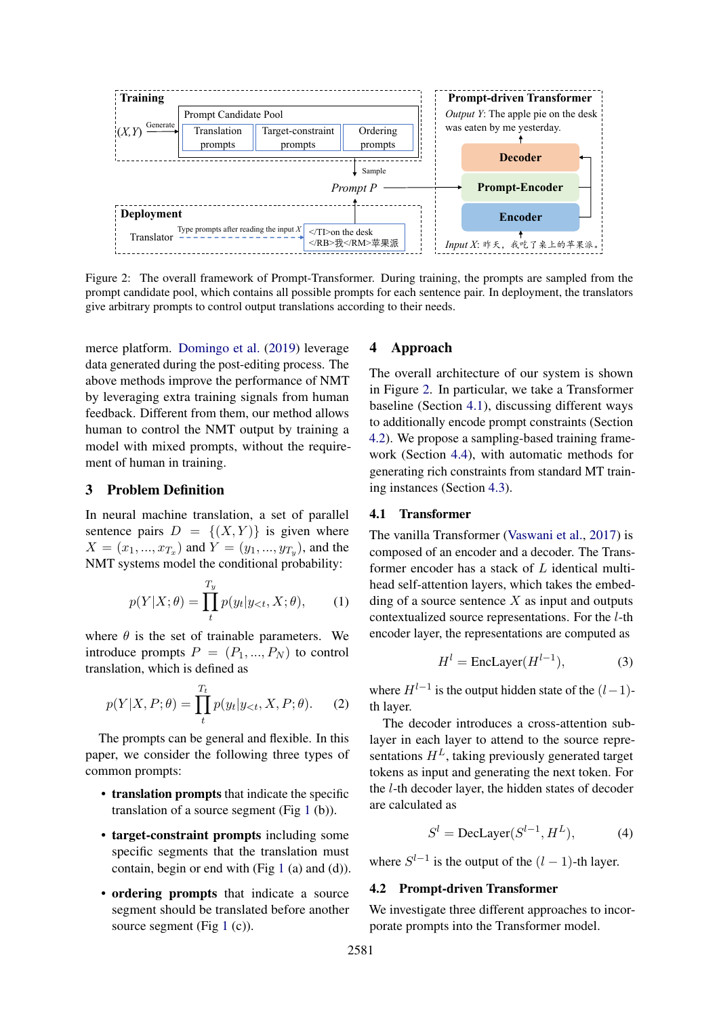<span id="page-2-0"></span>

Figure 2: The overall framework of Prompt-Transformer. During training, the prompts are sampled from the prompt candidate pool, which contains all possible prompts for each sentence pair. In deployment, the translators give arbitrary prompts to control output translations according to their needs.

merce platform. [Domingo et al.](#page-8-7) [\(2019\)](#page-8-7) leverage data generated during the post-editing process. The above methods improve the performance of NMT by leveraging extra training signals from human feedback. Different from them, our method allows human to control the NMT output by training a model with mixed prompts, without the requirement of human in training.

### 3 Problem Definition

In neural machine translation, a set of parallel sentence pairs  $D = \{(X, Y)\}\$ is given where  $X = (x_1, ..., x_{T_x})$  and  $Y = (y_1, ..., y_{T_y})$ , and the NMT systems model the conditional probability:

$$
p(Y|X; \theta) = \prod_{t}^{T_y} p(y_t | y_{< t}, X; \theta), \qquad (1)
$$

where  $\theta$  is the set of trainable parameters. We introduce prompts  $P = (P_1, ..., P_N)$  to control translation, which is defined as

$$
p(Y|X, P; \theta) = \prod_{t}^{T_t} p(y_t | y_{< t}, X, P; \theta). \tag{2}
$$

The prompts can be general and flexible. In this paper, we consider the following three types of common prompts:

- translation prompts that indicate the specific translation of a source segment (Fig [1](#page-0-0) (b)).
- target-constraint prompts including some specific segments that the translation must contain, begin or end with (Fig  $1$  (a) and (d)).
- ordering prompts that indicate a source segment should be translated before another source segment (Fig  $1$  (c)).

## 4 Approach

The overall architecture of our system is shown in Figure [2.](#page-2-0) In particular, we take a Transformer baseline (Section [4.1\)](#page-2-1), discussing different ways to additionally encode prompt constraints (Section [4.2\)](#page-2-2). We propose a sampling-based training framework (Section [4.4\)](#page-3-0), with automatic methods for generating rich constraints from standard MT training instances (Section [4.3\)](#page-3-1).

#### <span id="page-2-1"></span>4.1 Transformer

The vanilla Transformer [\(Vaswani et al.,](#page-10-0) [2017\)](#page-10-0) is composed of an encoder and a decoder. The Transformer encoder has a stack of L identical multihead self-attention layers, which takes the embedding of a source sentence  $X$  as input and outputs contextualized source representations. For the l-th encoder layer, the representations are computed as

$$
H^{l} = \text{EncLayer}(H^{l-1}),\tag{3}
$$

where  $H^{l-1}$  is the output hidden state of the  $(l-1)$ th layer.

The decoder introduces a cross-attention sublayer in each layer to attend to the source representations  $H<sup>L</sup>$ , taking previously generated target tokens as input and generating the next token. For the l-th decoder layer, the hidden states of decoder are calculated as

$$
Sl = \text{DecLayer}(Sl-1, HL), \tag{4}
$$

where  $S^{l-1}$  is the output of the  $(l-1)$ -th layer.

## <span id="page-2-2"></span>4.2 Prompt-driven Transformer

We investigate three different approaches to incorporate prompts into the Transformer model.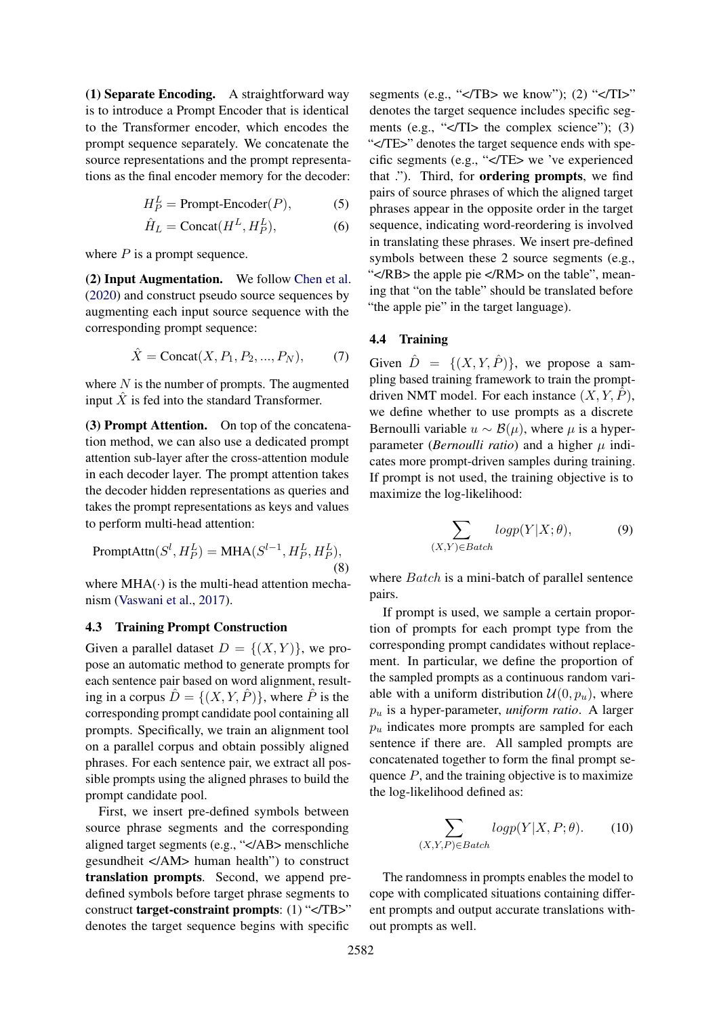(1) Separate Encoding. A straightforward way is to introduce a Prompt Encoder that is identical to the Transformer encoder, which encodes the prompt sequence separately. We concatenate the source representations and the prompt representations as the final encoder memory for the decoder:

$$
H_P^L = \text{Prompt-Encoder}(P),\tag{5}
$$

$$
\hat{H}_L = \text{Concat}(H^L, H^L_P),\tag{6}
$$

where  $P$  is a prompt sequence.

(2) Input Augmentation. We follow [Chen et al.](#page-8-2) [\(2020\)](#page-8-2) and construct pseudo source sequences by augmenting each input source sequence with the corresponding prompt sequence:

$$
\hat{X} = \text{Concat}(X, P_1, P_2, ..., P_N), \tag{7}
$$

where  $N$  is the number of prompts. The augmented input  $\hat{X}$  is fed into the standard Transformer.

(3) Prompt Attention. On top of the concatenation method, we can also use a dedicated prompt attention sub-layer after the cross-attention module in each decoder layer. The prompt attention takes the decoder hidden representations as queries and takes the prompt representations as keys and values to perform multi-head attention:

$$
\text{PromptAttn}(S^l, H_P^L) = \text{MHA}(S^{l-1}, H_P^L, H_P^L),
$$
\n(8)

where  $MHA(\cdot)$  is the multi-head attention mechanism [\(Vaswani et al.,](#page-10-0) [2017\)](#page-10-0).

#### <span id="page-3-1"></span>4.3 Training Prompt Construction

Given a parallel dataset  $D = \{(X, Y)\}\)$ , we propose an automatic method to generate prompts for each sentence pair based on word alignment, resulting in a corpus  $\hat{D} = \{(X, Y, \hat{P})\}$ , where  $\hat{P}$  is the corresponding prompt candidate pool containing all prompts. Specifically, we train an alignment tool on a parallel corpus and obtain possibly aligned phrases. For each sentence pair, we extract all possible prompts using the aligned phrases to build the prompt candidate pool.

First, we insert pre-defined symbols between source phrase segments and the corresponding aligned target segments (e.g., "</AB> menschliche gesundheit </AM> human health") to construct translation prompts. Second, we append predefined symbols before target phrase segments to construct target-constraint prompts: (1) "</TB>" denotes the target sequence begins with specific

segments (e.g., " $\langle$ TB> we know"); (2) " $\langle$ TI>" denotes the target sequence includes specific segments (e.g., " $\langle$ TI> the complex science"); (3) "</TE>" denotes the target sequence ends with specific segments (e.g., "</TE> we 've experienced that ."). Third, for ordering prompts, we find pairs of source phrases of which the aligned target phrases appear in the opposite order in the target sequence, indicating word-reordering is involved in translating these phrases. We insert pre-defined symbols between these 2 source segments (e.g., "</RB> the apple pie </RM> on the table", meaning that "on the table" should be translated before "the apple pie" in the target language).

## <span id="page-3-0"></span>4.4 Training

Given  $\hat{D} = \{(X, Y, \hat{P})\}$ , we propose a sampling based training framework to train the promptdriven NMT model. For each instance  $(X, Y, \hat{P})$ , we define whether to use prompts as a discrete Bernoulli variable  $u \sim \mathcal{B}(\mu)$ , where  $\mu$  is a hyperparameter (*Bernoulli ratio*) and a higher  $\mu$  indicates more prompt-driven samples during training. If prompt is not used, the training objective is to maximize the log-likelihood:

$$
\sum_{(X,Y)\in Batch} logp(Y|X; \theta), \tag{9}
$$

where *Batch* is a mini-batch of parallel sentence pairs.

If prompt is used, we sample a certain proportion of prompts for each prompt type from the corresponding prompt candidates without replacement. In particular, we define the proportion of the sampled prompts as a continuous random variable with a uniform distribution  $\mathcal{U}(0, p_u)$ , where  $p_u$  is a hyper-parameter, *uniform ratio*. A larger  $p_u$  indicates more prompts are sampled for each sentence if there are. All sampled prompts are concatenated together to form the final prompt sequence  $P$ , and the training objective is to maximize the log-likelihood defined as:

$$
\sum_{(X,Y,P)\in Batch} logp(Y|X,P;\theta). \tag{10}
$$

The randomness in prompts enables the model to cope with complicated situations containing different prompts and output accurate translations without prompts as well.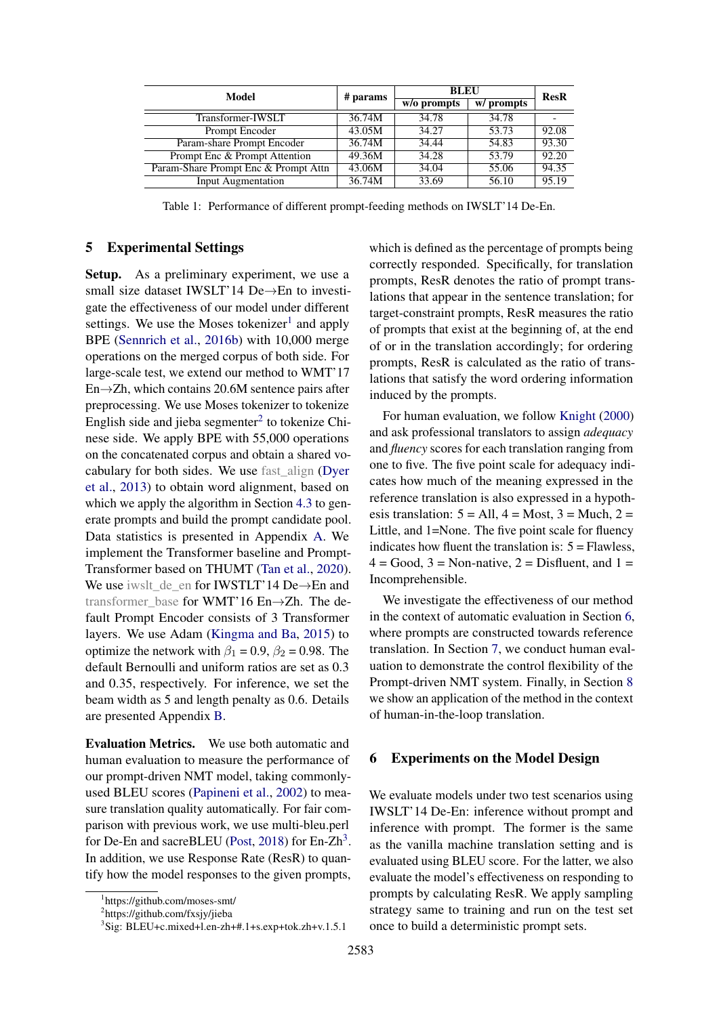<span id="page-4-1"></span>

| Model                                | # params | <b>BLEU</b> |            | <b>ResR</b> |
|--------------------------------------|----------|-------------|------------|-------------|
|                                      |          | w/o prompts | w/ prompts |             |
| Transformer-IWSLT                    | 36.74M   | 34.78       | 34.78      |             |
| Prompt Encoder                       | 43.05M   | 34.27       | 53.73      | 92.08       |
| Param-share Prompt Encoder           | 36.74M   | 34.44       | 54.83      | 93.30       |
| Prompt Enc & Prompt Attention        | 49.36M   | 34.28       | 53.79      | 92.20       |
| Param-Share Prompt Enc & Prompt Attn | 43.06M   | 34.04       | 55.06      | 94.35       |
| <b>Input Augmentation</b>            | 36.74M   | 33.69       | 56.10      | 95.19       |

Table 1: Performance of different prompt-feeding methods on IWSLT'14 De-En.

#### 5 Experimental Settings

Setup. As a preliminary experiment, we use a small size dataset IWSLT'14 De→En to investigate the effectiveness of our model under different settings. We use the Moses tokenizer<sup>[1](#page-0-1)</sup> and apply BPE [\(Sennrich et al.,](#page-9-18) [2016b\)](#page-9-18) with 10,000 merge operations on the merged corpus of both side. For large-scale test, we extend our method to WMT'17 En→Zh, which contains 20.6M sentence pairs after preprocessing. We use Moses tokenizer to tokenize English side and jieba segmenter $2$  to tokenize Chinese side. We apply BPE with 55,000 operations on the concatenated corpus and obtain a shared vocabulary for both sides. We use fast\_align [\(Dyer](#page-8-8) [et al.,](#page-8-8) [2013\)](#page-8-8) to obtain word alignment, based on which we apply the algorithm in Section [4.3](#page-3-1) to generate prompts and build the prompt candidate pool. Data statistics is presented in Appendix [A.](#page-11-0) We implement the Transformer baseline and Prompt-Transformer based on THUMT [\(Tan et al.,](#page-9-19) [2020\)](#page-9-19). We use iwslt\_de\_en for IWSTLT'14 De→En and transformer\_base for WMT'16 En→Zh. The default Prompt Encoder consists of 3 Transformer layers. We use Adam [\(Kingma and Ba,](#page-9-20) [2015\)](#page-9-20) to optimize the network with  $\beta_1 = 0.9$ ,  $\beta_2 = 0.98$ . The default Bernoulli and uniform ratios are set as 0.3 and 0.35, respectively. For inference, we set the beam width as 5 and length penalty as 0.6. Details are presented Appendix [B.](#page-11-1)

<span id="page-4-2"></span>Evaluation Metrics. We use both automatic and human evaluation to measure the performance of our prompt-driven NMT model, taking commonlyused BLEU scores [\(Papineni et al.,](#page-9-21) [2002\)](#page-9-21) to measure translation quality automatically. For fair comparison with previous work, we use multi-bleu.perl for De-En and sacreBLEU [\(Post,](#page-9-22) [2018\)](#page-9-22) for En-Zh<sup>[3](#page-0-1)</sup>. In addition, we use Response Rate (ResR) to quantify how the model responses to the given prompts,

which is defined as the percentage of prompts being correctly responded. Specifically, for translation prompts, ResR denotes the ratio of prompt translations that appear in the sentence translation; for target-constraint prompts, ResR measures the ratio of prompts that exist at the beginning of, at the end of or in the translation accordingly; for ordering prompts, ResR is calculated as the ratio of translations that satisfy the word ordering information induced by the prompts.

For human evaluation, we follow [Knight](#page-9-23) [\(2000\)](#page-9-23) and ask professional translators to assign *adequacy* and *fluency* scores for each translation ranging from one to five. The five point scale for adequacy indicates how much of the meaning expressed in the reference translation is also expressed in a hypothesis translation:  $5 = All$ ,  $4 = Most$ ,  $3 = Much$ ,  $2 =$ Little, and 1=None. The five point scale for fluency indicates how fluent the translation is:  $5 =$  Flawless,  $4 = Good$ ,  $3 = Non-native$ ,  $2 = Dist$  luent, and  $1 =$ Incomprehensible.

We investigate the effectiveness of our method in the context of automatic evaluation in Section [6,](#page-4-0) where prompts are constructed towards reference translation. In Section [7,](#page-6-0) we conduct human evaluation to demonstrate the control flexibility of the Prompt-driven NMT system. Finally, in Section [8](#page-7-0) we show an application of the method in the context of human-in-the-loop translation.

#### <span id="page-4-0"></span>6 Experiments on the Model Design

We evaluate models under two test scenarios using IWSLT'14 De-En: inference without prompt and inference with prompt. The former is the same as the vanilla machine translation setting and is evaluated using BLEU score. For the latter, we also evaluate the model's effectiveness on responding to prompts by calculating ResR. We apply sampling strategy same to training and run on the test set once to build a deterministic prompt sets.

<sup>1</sup> https://github.com/moses-smt/

<sup>&</sup>lt;sup>2</sup>https://github.com/fxsjy/jieba

<sup>3</sup> Sig: BLEU+c.mixed+l.en-zh+#.1+s.exp+tok.zh+v.1.5.1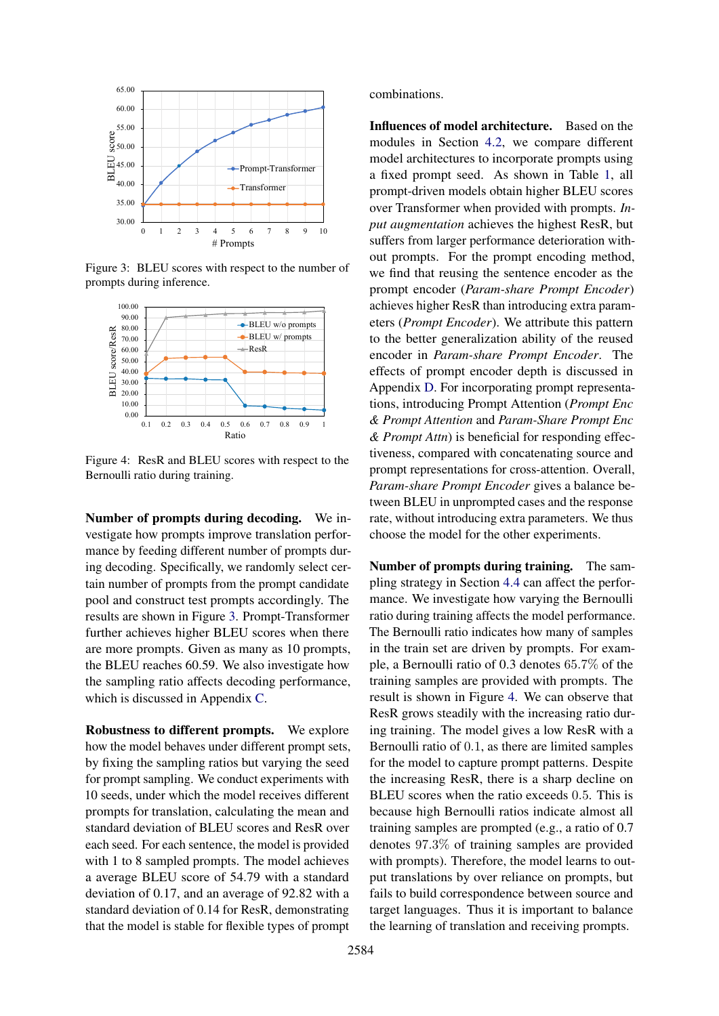<span id="page-5-0"></span>

Figure 3: BLEU scores with respect to the number of prompts during inference.

<span id="page-5-1"></span>

Figure 4: ResR and BLEU scores with respect to the Bernoulli ratio during training.

Number of prompts during decoding. We investigate how prompts improve translation performance by feeding different number of prompts during decoding. Specifically, we randomly select certain number of prompts from the prompt candidate pool and construct test prompts accordingly. The results are shown in Figure [3.](#page-5-0) Prompt-Transformer further achieves higher BLEU scores when there are more prompts. Given as many as 10 prompts, the BLEU reaches 60.59. We also investigate how the sampling ratio affects decoding performance, which is discussed in Appendix [C.](#page-11-2)

Robustness to different prompts. We explore how the model behaves under different prompt sets, by fixing the sampling ratios but varying the seed for prompt sampling. We conduct experiments with 10 seeds, under which the model receives different prompts for translation, calculating the mean and standard deviation of BLEU scores and ResR over each seed. For each sentence, the model is provided with 1 to 8 sampled prompts. The model achieves a average BLEU score of 54.79 with a standard deviation of 0.17, and an average of 92.82 with a standard deviation of 0.14 for ResR, demonstrating that the model is stable for flexible types of prompt

combinations.

Influences of model architecture. Based on the modules in Section [4.2,](#page-2-2) we compare different model architectures to incorporate prompts using a fixed prompt seed. As shown in Table [1,](#page-4-1) all prompt-driven models obtain higher BLEU scores over Transformer when provided with prompts. *Input augmentation* achieves the highest ResR, but suffers from larger performance deterioration without prompts. For the prompt encoding method, we find that reusing the sentence encoder as the prompt encoder (*Param-share Prompt Encoder*) achieves higher ResR than introducing extra parameters (*Prompt Encoder*). We attribute this pattern to the better generalization ability of the reused encoder in *Param-share Prompt Encoder*. The effects of prompt encoder depth is discussed in Appendix [D.](#page-11-3) For incorporating prompt representations, introducing Prompt Attention (*Prompt Enc & Prompt Attention* and *Param-Share Prompt Enc & Prompt Attn*) is beneficial for responding effectiveness, compared with concatenating source and prompt representations for cross-attention. Overall, *Param-share Prompt Encoder* gives a balance between BLEU in unprompted cases and the response rate, without introducing extra parameters. We thus choose the model for the other experiments.

Number of prompts during training. The sampling strategy in Section [4.4](#page-3-0) can affect the performance. We investigate how varying the Bernoulli ratio during training affects the model performance. The Bernoulli ratio indicates how many of samples in the train set are driven by prompts. For example, a Bernoulli ratio of 0.3 denotes 65.7% of the training samples are provided with prompts. The result is shown in Figure [4.](#page-5-1) We can observe that ResR grows steadily with the increasing ratio during training. The model gives a low ResR with a Bernoulli ratio of 0.1, as there are limited samples for the model to capture prompt patterns. Despite the increasing ResR, there is a sharp decline on BLEU scores when the ratio exceeds 0.5. This is because high Bernoulli ratios indicate almost all training samples are prompted (e.g., a ratio of 0.7 denotes 97.3% of training samples are provided with prompts). Therefore, the model learns to output translations by over reliance on prompts, but fails to build correspondence between source and target languages. Thus it is important to balance the learning of translation and receiving prompts.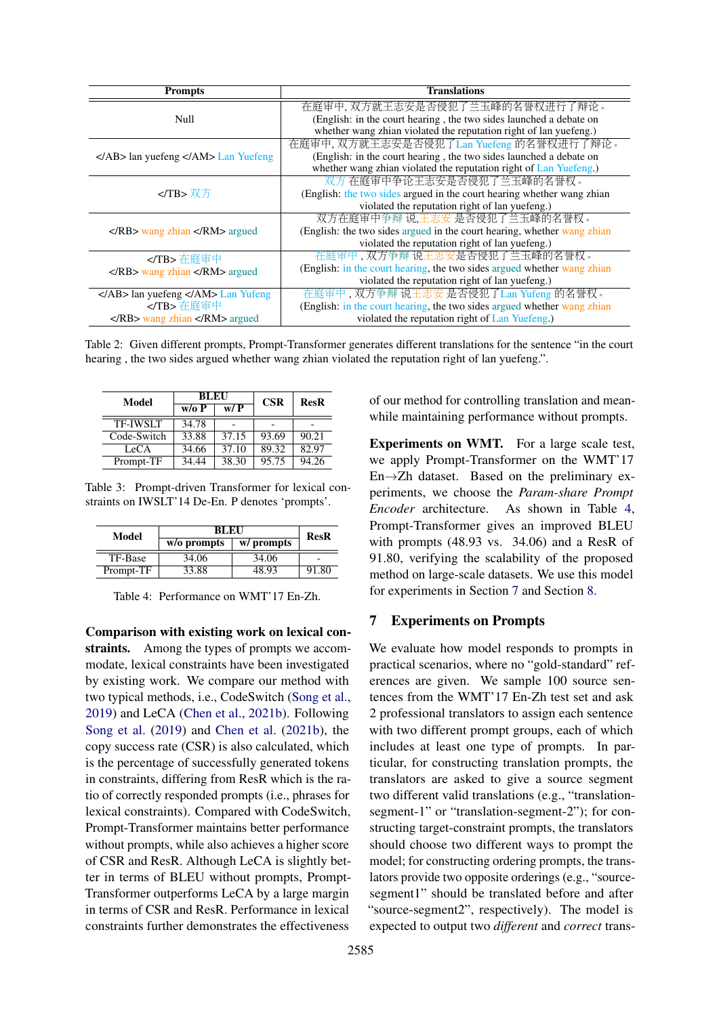<span id="page-6-2"></span>

| <b>Prompts</b>                                                          | <b>Translations</b>                                                     |  |  |
|-------------------------------------------------------------------------|-------------------------------------------------------------------------|--|--|
|                                                                         | 在庭审中, 双方就王志安是否侵犯了兰玉峰的名誉权进行了辩论。                                          |  |  |
| Null                                                                    | (English: in the court hearing, the two sides launched a debate on      |  |  |
|                                                                         | whether wang zhian violated the reputation right of lan yuefeng.)       |  |  |
|                                                                         | 在庭审中, 双方就王志安是否侵犯了Lan Yuefeng 的名誉权进行了辩论。                                 |  |  |
| lan yuefeng  Lan Yuefeng                                                | (English: in the court hearing, the two sides launched a debate on      |  |  |
|                                                                         | whether wang zhian violated the reputation right of Lan Yuefeng.)       |  |  |
|                                                                         | 双方在庭审中争论王志安是否侵犯了兰玉峰的名誉权。                                                |  |  |
| 双方                                                                      | (English: the two sides argued in the court hearing whether wang zhian  |  |  |
|                                                                         | violated the reputation right of lan yuefeng.)                          |  |  |
|                                                                         | 双方在庭审中争辩 说,王志安 是否侵犯了兰玉峰的名誉权。                                            |  |  |
| $\langle R\bar{B} \rangle$ wang zhian $\langle R\bar{M} \rangle$ argued | (English: the two sides argued in the court hearing, whether wang zhian |  |  |
|                                                                         | violated the reputation right of lan yuefeng.)                          |  |  |
| 在庭审中                                                                    | 在庭审中, 双方争辩 说王志安是否侵犯了兰玉峰的名誉权。                                            |  |  |
| wang zhian  argued                                                      | (English: in the court hearing, the two sides argued whether wang zhian |  |  |
|                                                                         | violated the reputation right of lan yuefeng.)                          |  |  |
| $\langle AB \rangle$ lan yuefeng $\langle A M \rangle$ Lan Yufeng       | 在庭审中, 双方争辩 说王志安 是否侵犯了Lan Yufeng 的名誉权。                                   |  |  |
| 在庭审中                                                                    | (English: in the court hearing, the two sides argued whether wang zhian |  |  |
| $\langle R\text{B}\rangle$ wang zhian $\langle R\text{M}\rangle$ argued | violated the reputation right of Lan Yuefeng.)                          |  |  |

Table 2: Given different prompts, Prompt-Transformer generates different translations for the sentence "in the court hearing , the two sides argued whether wang zhian violated the reputation right of lan yuefeng.".

| Model           | <b>BLEU</b> |       | <b>CSR</b> | <b>ResR</b> |  |
|-----------------|-------------|-------|------------|-------------|--|
|                 | w/o P       | w/P   |            |             |  |
| <b>TF-IWSLT</b> | 34.78       |       |            |             |  |
| Code-Switch     | 33.88       | 37.15 | 93.69      | 90.21       |  |
| LeCA            | 34.66       | 37.10 | 89.32      | 82.97       |  |
| Prompt-TF       | 34.44       | 38.30 | 95.75      | 94.26       |  |

Table 3: Prompt-driven Transformer for lexical constraints on IWSLT'14 De-En. P denotes 'prompts'.

<span id="page-6-1"></span>

| Model     | BLEU          | <b>ResR</b> |       |  |
|-----------|---------------|-------------|-------|--|
|           | $w/o$ prompts | w/ prompts  |       |  |
| TF-Base   | 34.06         | 34.06       |       |  |
| Prompt-TF | 33.88         | 48.93       | 91.80 |  |

Table 4: Performance on WMT'17 En-Zh.

Comparison with existing work on lexical constraints. Among the types of prompts we accommodate, lexical constraints have been investigated by existing work. We compare our method with two typical methods, i.e., CodeSwitch [\(Song et al.,](#page-9-5) [2019\)](#page-9-5) and LeCA [\(Chen et al.,](#page-8-4) [2021b\)](#page-8-4). Following [Song et al.](#page-9-5) [\(2019\)](#page-9-5) and [Chen et al.](#page-8-4) [\(2021b\)](#page-8-4), the copy success rate (CSR) is also calculated, which is the percentage of successfully generated tokens in constraints, differing from ResR which is the ratio of correctly responded prompts (i.e., phrases for lexical constraints). Compared with CodeSwitch, Prompt-Transformer maintains better performance without prompts, while also achieves a higher score of CSR and ResR. Although LeCA is slightly better in terms of BLEU without prompts, Prompt-Transformer outperforms LeCA by a large margin in terms of CSR and ResR. Performance in lexical constraints further demonstrates the effectiveness

of our method for controlling translation and meanwhile maintaining performance without prompts.

<span id="page-6-3"></span>Experiments on WMT. For a large scale test, we apply Prompt-Transformer on the WMT'17 En→Zh dataset. Based on the preliminary experiments, we choose the *Param-share Prompt Encoder* architecture. As shown in Table [4,](#page-6-1) Prompt-Transformer gives an improved BLEU with prompts (48.93 vs. 34.06) and a ResR of 91.80, verifying the scalability of the proposed method on large-scale datasets. We use this model for experiments in Section [7](#page-6-0) and Section [8.](#page-7-0)

# <span id="page-6-0"></span>7 Experiments on Prompts

We evaluate how model responds to prompts in practical scenarios, where no "gold-standard" references are given. We sample 100 source sentences from the WMT'17 En-Zh test set and ask 2 professional translators to assign each sentence with two different prompt groups, each of which includes at least one type of prompts. In particular, for constructing translation prompts, the translators are asked to give a source segment two different valid translations (e.g., "translationsegment-1" or "translation-segment-2"); for constructing target-constraint prompts, the translators should choose two different ways to prompt the model; for constructing ordering prompts, the translators provide two opposite orderings (e.g., "sourcesegment1" should be translated before and after "source-segment2", respectively). The model is expected to output two *different* and *correct* trans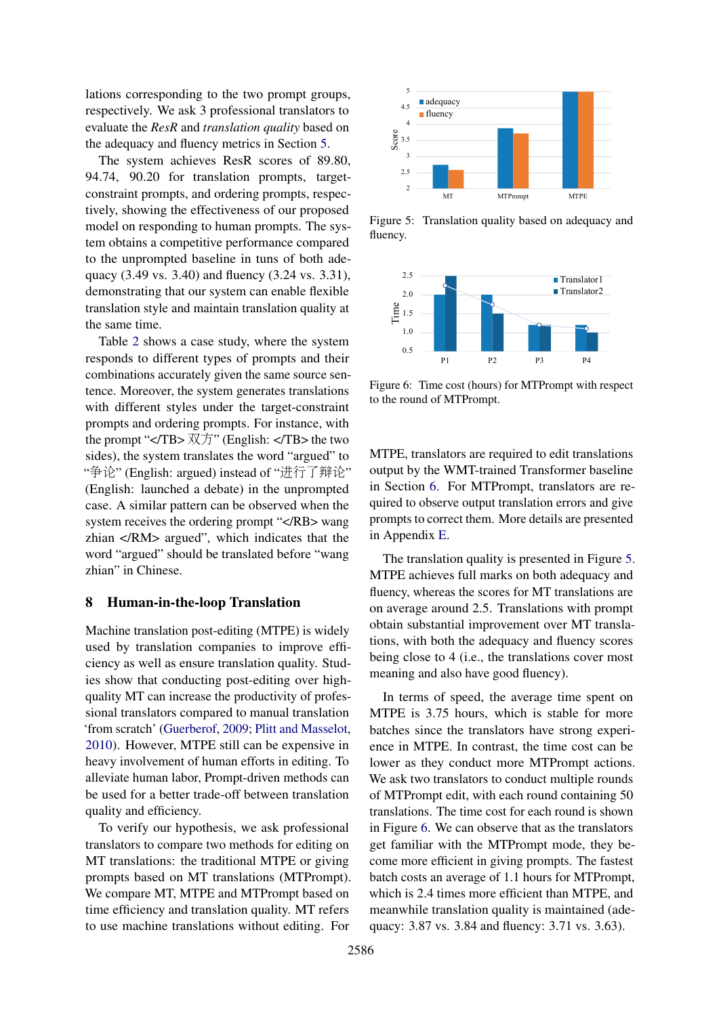lations corresponding to the two prompt groups, respectively. We ask 3 professional translators to evaluate the *ResR* and *translation quality* based on the adequacy and fluency metrics in Section [5.](#page-4-2)

The system achieves ResR scores of 89.80, 94.74, 90.20 for translation prompts, targetconstraint prompts, and ordering prompts, respectively, showing the effectiveness of our proposed model on responding to human prompts. The system obtains a competitive performance compared to the unprompted baseline in tuns of both adequacy (3.49 vs. 3.40) and fluency (3.24 vs. 3.31), demonstrating that our system can enable flexible translation style and maintain translation quality at the same time.

Table [2](#page-6-2) shows a case study, where the system responds to different types of prompts and their combinations accurately given the same source sentence. Moreover, the system generates translations with different styles under the target-constraint prompts and ordering prompts. For instance, with the prompt " $\langle$ TB>  $\overline{\mathcal{R}}$ " (English:  $\langle$ TB> the two sides), the system translates the word "argued" to "争论" (English: argued) instead of "进行了辩论" (English: launched a debate) in the unprompted case. A similar pattern can be observed when the system receives the ordering prompt "</RB> wang zhian </RM> argued", which indicates that the word "argued" should be translated before "wang zhian" in Chinese.

### <span id="page-7-0"></span>8 Human-in-the-loop Translation

Machine translation post-editing (MTPE) is widely used by translation companies to improve efficiency as well as ensure translation quality. Studies show that conducting post-editing over highquality MT can increase the productivity of professional translators compared to manual translation 'from scratch' [\(Guerberof,](#page-8-9) [2009;](#page-8-9) [Plitt and Masselot,](#page-9-24) [2010\)](#page-9-24). However, MTPE still can be expensive in heavy involvement of human efforts in editing. To alleviate human labor, Prompt-driven methods can be used for a better trade-off between translation quality and efficiency.

To verify our hypothesis, we ask professional translators to compare two methods for editing on MT translations: the traditional MTPE or giving prompts based on MT translations (MTPrompt). We compare MT, MTPE and MTPrompt based on time efficiency and translation quality. MT refers to use machine translations without editing. For

<span id="page-7-1"></span>

Figure 5: Translation quality based on adequacy and fluency.

<span id="page-7-2"></span>

Figure 6: Time cost (hours) for MTPrompt with respect to the round of MTPrompt.

MTPE, translators are required to edit translations output by the WMT-trained Transformer baseline in Section [6.](#page-6-3) For MTPrompt, translators are required to observe output translation errors and give prompts to correct them. More details are presented in Appendix [E.](#page-11-4)

The translation quality is presented in Figure [5.](#page-7-1) MTPE achieves full marks on both adequacy and fluency, whereas the scores for MT translations are on average around 2.5. Translations with prompt obtain substantial improvement over MT translations, with both the adequacy and fluency scores being close to 4 (i.e., the translations cover most meaning and also have good fluency).

In terms of speed, the average time spent on MTPE is 3.75 hours, which is stable for more batches since the translators have strong experience in MTPE. In contrast, the time cost can be lower as they conduct more MTPrompt actions. We ask two translators to conduct multiple rounds of MTPrompt edit, with each round containing 50 translations. The time cost for each round is shown in Figure [6.](#page-7-2) We can observe that as the translators get familiar with the MTPrompt mode, they become more efficient in giving prompts. The fastest batch costs an average of 1.1 hours for MTPrompt, which is 2.4 times more efficient than MTPE, and meanwhile translation quality is maintained (adequacy: 3.87 vs. 3.84 and fluency: 3.71 vs. 3.63).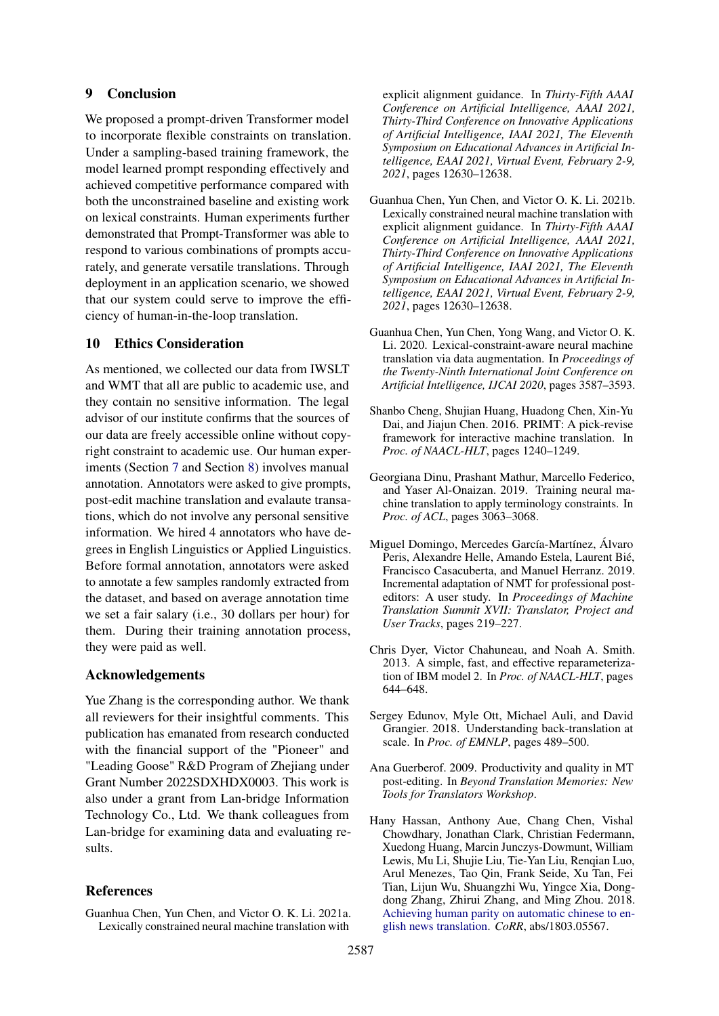# 9 Conclusion

We proposed a prompt-driven Transformer model to incorporate flexible constraints on translation. Under a sampling-based training framework, the model learned prompt responding effectively and achieved competitive performance compared with both the unconstrained baseline and existing work on lexical constraints. Human experiments further demonstrated that Prompt-Transformer was able to respond to various combinations of prompts accurately, and generate versatile translations. Through deployment in an application scenario, we showed that our system could serve to improve the efficiency of human-in-the-loop translation.

## 10 Ethics Consideration

As mentioned, we collected our data from IWSLT and WMT that all are public to academic use, and they contain no sensitive information. The legal advisor of our institute confirms that the sources of our data are freely accessible online without copyright constraint to academic use. Our human experiments (Section [7](#page-6-0) and Section [8\)](#page-7-0) involves manual annotation. Annotators were asked to give prompts, post-edit machine translation and evalaute transations, which do not involve any personal sensitive information. We hired 4 annotators who have degrees in English Linguistics or Applied Linguistics. Before formal annotation, annotators were asked to annotate a few samples randomly extracted from the dataset, and based on average annotation time we set a fair salary (i.e., 30 dollars per hour) for them. During their training annotation process, they were paid as well.

## Acknowledgements

Yue Zhang is the corresponding author. We thank all reviewers for their insightful comments. This publication has emanated from research conducted with the financial support of the "Pioneer" and "Leading Goose" R&D Program of Zhejiang under Grant Number 2022SDXHDX0003. This work is also under a grant from Lan-bridge Information Technology Co., Ltd. We thank colleagues from Lan-bridge for examining data and evaluating results.

## **References**

<span id="page-8-3"></span>Guanhua Chen, Yun Chen, and Victor O. K. Li. 2021a. Lexically constrained neural machine translation with

explicit alignment guidance. In *Thirty-Fifth AAAI Conference on Artificial Intelligence, AAAI 2021, Thirty-Third Conference on Innovative Applications of Artificial Intelligence, IAAI 2021, The Eleventh Symposium on Educational Advances in Artificial Intelligence, EAAI 2021, Virtual Event, February 2-9, 2021*, pages 12630–12638.

- <span id="page-8-4"></span>Guanhua Chen, Yun Chen, and Victor O. K. Li. 2021b. Lexically constrained neural machine translation with explicit alignment guidance. In *Thirty-Fifth AAAI Conference on Artificial Intelligence, AAAI 2021, Thirty-Third Conference on Innovative Applications of Artificial Intelligence, IAAI 2021, The Eleventh Symposium on Educational Advances in Artificial Intelligence, EAAI 2021, Virtual Event, February 2-9, 2021*, pages 12630–12638.
- <span id="page-8-2"></span>Guanhua Chen, Yun Chen, Yong Wang, and Victor O. K. Li. 2020. Lexical-constraint-aware neural machine translation via data augmentation. In *Proceedings of the Twenty-Ninth International Joint Conference on Artificial Intelligence, IJCAI 2020*, pages 3587–3593.
- <span id="page-8-6"></span>Shanbo Cheng, Shujian Huang, Huadong Chen, Xin-Yu Dai, and Jiajun Chen. 2016. PRIMT: A pick-revise framework for interactive machine translation. In *Proc. of NAACL-HLT*, pages 1240–1249.
- <span id="page-8-5"></span>Georgiana Dinu, Prashant Mathur, Marcello Federico, and Yaser Al-Onaizan. 2019. Training neural machine translation to apply terminology constraints. In *Proc. of ACL*, pages 3063–3068.
- <span id="page-8-7"></span>Miguel Domingo, Mercedes García-Martínez, Álvaro Peris, Alexandre Helle, Amando Estela, Laurent Bié, Francisco Casacuberta, and Manuel Herranz. 2019. Incremental adaptation of NMT for professional posteditors: A user study. In *Proceedings of Machine Translation Summit XVII: Translator, Project and User Tracks*, pages 219–227.
- <span id="page-8-8"></span>Chris Dyer, Victor Chahuneau, and Noah A. Smith. 2013. A simple, fast, and effective reparameterization of IBM model 2. In *Proc. of NAACL-HLT*, pages 644–648.
- <span id="page-8-0"></span>Sergey Edunov, Myle Ott, Michael Auli, and David Grangier. 2018. Understanding back-translation at scale. In *Proc. of EMNLP*, pages 489–500.
- <span id="page-8-9"></span>Ana Guerberof. 2009. Productivity and quality in MT post-editing. In *Beyond Translation Memories: New Tools for Translators Workshop*.
- <span id="page-8-1"></span>Hany Hassan, Anthony Aue, Chang Chen, Vishal Chowdhary, Jonathan Clark, Christian Federmann, Xuedong Huang, Marcin Junczys-Dowmunt, William Lewis, Mu Li, Shujie Liu, Tie-Yan Liu, Renqian Luo, Arul Menezes, Tao Qin, Frank Seide, Xu Tan, Fei Tian, Lijun Wu, Shuangzhi Wu, Yingce Xia, Dongdong Zhang, Zhirui Zhang, and Ming Zhou. 2018. [Achieving human parity on automatic chinese to en](http://arxiv.org/abs/1803.05567)[glish news translation.](http://arxiv.org/abs/1803.05567) *CoRR*, abs/1803.05567.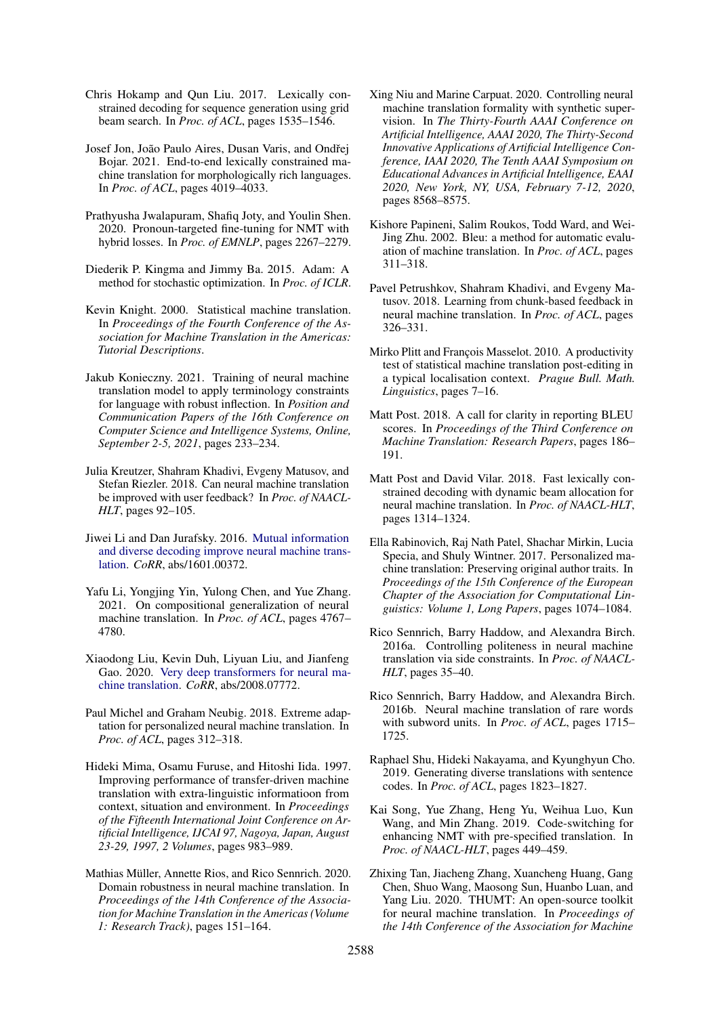- <span id="page-9-10"></span>Chris Hokamp and Qun Liu. 2017. Lexically constrained decoding for sequence generation using grid beam search. In *Proc. of ACL*, pages 1535–1546.
- <span id="page-9-13"></span>Josef Jon, João Paulo Aires, Dusan Varis, and Ondˇrej Bojar. 2021. End-to-end lexically constrained machine translation for morphologically rich languages. In *Proc. of ACL*, pages 4019–4033.
- <span id="page-9-8"></span>Prathyusha Jwalapuram, Shafiq Joty, and Youlin Shen. 2020. Pronoun-targeted fine-tuning for NMT with hybrid losses. In *Proc. of EMNLP*, pages 2267–2279.
- <span id="page-9-20"></span>Diederik P. Kingma and Jimmy Ba. 2015. Adam: A method for stochastic optimization. In *Proc. of ICLR*.
- <span id="page-9-23"></span>Kevin Knight. 2000. Statistical machine translation. In *Proceedings of the Fourth Conference of the Association for Machine Translation in the Americas: Tutorial Descriptions*.
- <span id="page-9-9"></span>Jakub Konieczny. 2021. Training of neural machine translation model to apply terminology constraints for language with robust inflection. In *Position and Communication Papers of the 16th Conference on Computer Science and Intelligence Systems, Online, September 2-5, 2021*, pages 233–234.
- <span id="page-9-17"></span>Julia Kreutzer, Shahram Khadivi, Evgeny Matusov, and Stefan Riezler. 2018. Can neural machine translation be improved with user feedback? In *Proc. of NAACL-HLT*, pages 92–105.
- <span id="page-9-3"></span>Jiwei Li and Dan Jurafsky. 2016. [Mutual information](http://arxiv.org/abs/1601.00372) [and diverse decoding improve neural machine trans](http://arxiv.org/abs/1601.00372)[lation.](http://arxiv.org/abs/1601.00372) *CoRR*, abs/1601.00372.
- <span id="page-9-2"></span>Yafu Li, Yongjing Yin, Yulong Chen, and Yue Zhang. 2021. On compositional generalization of neural machine translation. In *Proc. of ACL*, pages 4767– 4780.
- <span id="page-9-0"></span>Xiaodong Liu, Kevin Duh, Liyuan Liu, and Jianfeng Gao. 2020. [Very deep transformers for neural ma](http://arxiv.org/abs/2008.07772)[chine translation.](http://arxiv.org/abs/2008.07772) *CoRR*, abs/2008.07772.
- <span id="page-9-7"></span>Paul Michel and Graham Neubig. 2018. Extreme adaptation for personalized neural machine translation. In *Proc. of ACL*, pages 312–318.
- <span id="page-9-14"></span>Hideki Mima, Osamu Furuse, and Hitoshi Iida. 1997. Improving performance of transfer-driven machine translation with extra-linguistic informatioon from context, situation and environment. In *Proceedings of the Fifteenth International Joint Conference on Artificial Intelligence, IJCAI 97, Nagoya, Japan, August 23-29, 1997, 2 Volumes*, pages 983–989.
- <span id="page-9-1"></span>Mathias Müller, Annette Rios, and Rico Sennrich. 2020. Domain robustness in neural machine translation. In *Proceedings of the 14th Conference of the Association for Machine Translation in the Americas (Volume 1: Research Track)*, pages 151–164.
- <span id="page-9-12"></span>Xing Niu and Marine Carpuat. 2020. Controlling neural machine translation formality with synthetic supervision. In *The Thirty-Fourth AAAI Conference on Artificial Intelligence, AAAI 2020, The Thirty-Second Innovative Applications of Artificial Intelligence Conference, IAAI 2020, The Tenth AAAI Symposium on Educational Advances in Artificial Intelligence, EAAI 2020, New York, NY, USA, February 7-12, 2020*, pages 8568–8575.
- <span id="page-9-21"></span>Kishore Papineni, Salim Roukos, Todd Ward, and Wei-Jing Zhu. 2002. Bleu: a method for automatic evaluation of machine translation. In *Proc. of ACL*, pages 311–318.
- <span id="page-9-16"></span>Pavel Petrushkov, Shahram Khadivi, and Evgeny Matusov. 2018. Learning from chunk-based feedback in neural machine translation. In *Proc. of ACL*, pages 326–331.
- <span id="page-9-24"></span>Mirko Plitt and François Masselot. 2010. A productivity test of statistical machine translation post-editing in a typical localisation context. *Prague Bull. Math. Linguistics*, pages 7–16.
- <span id="page-9-22"></span>Matt Post. 2018. A call for clarity in reporting BLEU scores. In *Proceedings of the Third Conference on Machine Translation: Research Papers*, pages 186– 191.
- <span id="page-9-11"></span>Matt Post and David Vilar. 2018. Fast lexically constrained decoding with dynamic beam allocation for neural machine translation. In *Proc. of NAACL-HLT*, pages 1314–1324.
- <span id="page-9-15"></span>Ella Rabinovich, Raj Nath Patel, Shachar Mirkin, Lucia Specia, and Shuly Wintner. 2017. Personalized machine translation: Preserving original author traits. In *Proceedings of the 15th Conference of the European Chapter of the Association for Computational Linguistics: Volume 1, Long Papers*, pages 1074–1084.
- <span id="page-9-6"></span>Rico Sennrich, Barry Haddow, and Alexandra Birch. 2016a. Controlling politeness in neural machine translation via side constraints. In *Proc. of NAACL-HLT*, pages 35–40.
- <span id="page-9-18"></span>Rico Sennrich, Barry Haddow, and Alexandra Birch. 2016b. Neural machine translation of rare words with subword units. In *Proc. of ACL*, pages 1715– 1725.
- <span id="page-9-4"></span>Raphael Shu, Hideki Nakayama, and Kyunghyun Cho. 2019. Generating diverse translations with sentence codes. In *Proc. of ACL*, pages 1823–1827.
- <span id="page-9-5"></span>Kai Song, Yue Zhang, Heng Yu, Weihua Luo, Kun Wang, and Min Zhang. 2019. Code-switching for enhancing NMT with pre-specified translation. In *Proc. of NAACL-HLT*, pages 449–459.
- <span id="page-9-19"></span>Zhixing Tan, Jiacheng Zhang, Xuancheng Huang, Gang Chen, Shuo Wang, Maosong Sun, Huanbo Luan, and Yang Liu. 2020. THUMT: An open-source toolkit for neural machine translation. In *Proceedings of the 14th Conference of the Association for Machine*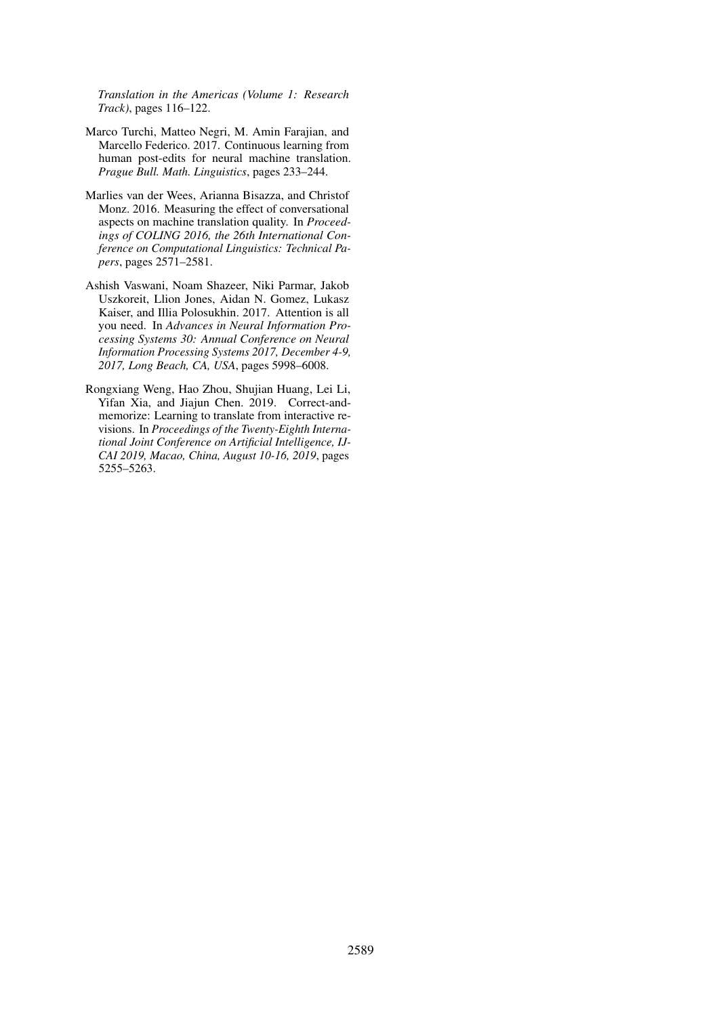*Translation in the Americas (Volume 1: Research Track)*, pages 116–122.

- <span id="page-10-2"></span>Marco Turchi, Matteo Negri, M. Amin Farajian, and Marcello Federico. 2017. Continuous learning from human post-edits for neural machine translation. *Prague Bull. Math. Linguistics*, pages 233–244.
- <span id="page-10-1"></span>Marlies van der Wees, Arianna Bisazza, and Christof Monz. 2016. Measuring the effect of conversational aspects on machine translation quality. In *Proceedings of COLING 2016, the 26th International Conference on Computational Linguistics: Technical Papers*, pages 2571–2581.
- <span id="page-10-0"></span>Ashish Vaswani, Noam Shazeer, Niki Parmar, Jakob Uszkoreit, Llion Jones, Aidan N. Gomez, Lukasz Kaiser, and Illia Polosukhin. 2017. Attention is all you need. In *Advances in Neural Information Processing Systems 30: Annual Conference on Neural Information Processing Systems 2017, December 4-9, 2017, Long Beach, CA, USA*, pages 5998–6008.
- <span id="page-10-3"></span>Rongxiang Weng, Hao Zhou, Shujian Huang, Lei Li, Yifan Xia, and Jiajun Chen. 2019. Correct-andmemorize: Learning to translate from interactive revisions. In *Proceedings of the Twenty-Eighth International Joint Conference on Artificial Intelligence, IJ-CAI 2019, Macao, China, August 10-16, 2019*, pages 5255–5263.